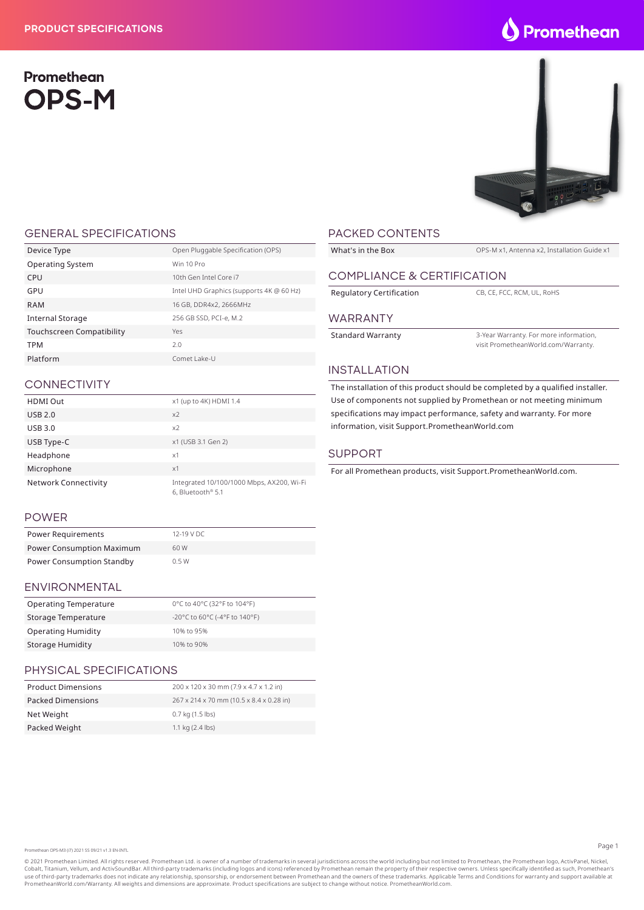# Promethean **OPS-M**



#### GENERAL SPECIFICATIONS

| Device Type                      | Open Pluggable Specification (OPS)       |
|----------------------------------|------------------------------------------|
| <b>Operating System</b>          | Win 10 Pro                               |
| CPU                              | 10th Gen Intel Core i7                   |
| GPU                              | Intel UHD Graphics (supports 4K @ 60 Hz) |
| RAM                              | 16 GB, DDR4x2, 2666MHz                   |
| <b>Internal Storage</b>          | 256 GB SSD, PCI-e, M.2                   |
| <b>Touchscreen Compatibility</b> | Yes                                      |
| <b>TPM</b>                       | 2.0                                      |
| Platform                         | Comet Lake-U                             |
|                                  |                                          |

## **CONNECTIVITY**

| <b>HDMI Out</b>             | x1 (up to 4K) HDMI 1.4                                         |
|-----------------------------|----------------------------------------------------------------|
| <b>USB 2.0</b>              | x <sub>2</sub>                                                 |
| <b>USB 3.0</b>              | x <sub>2</sub>                                                 |
| USB Type-C                  | x1 (USB 3.1 Gen 2)                                             |
| Headphone                   | x1                                                             |
| Microphone                  | x1                                                             |
| <b>Network Connectivity</b> | Integrated 10/100/1000 Mbps, AX200, Wi-Fi<br>6, Bluetooth® 5.1 |

#### POWER

| Power Requirements               | 12-19 V DC |
|----------------------------------|------------|
| <b>Power Consumption Maximum</b> | 60 W       |
| <b>Power Consumption Standby</b> | 0.5W       |

## ENVIRONMENTAL

| <b>Operating Temperature</b> | 0°C to 40°C (32°F to 104°F)   |
|------------------------------|-------------------------------|
| Storage Temperature          | -20°C to 60°C (-4°F to 140°F) |
| <b>Operating Humidity</b>    | 10% to 95%                    |
| Storage Humidity             | 10% to 90%                    |

## PHYSICAL SPECIFICATIONS

| <b>Product Dimensions</b> | 200 x 120 x 30 mm (7.9 x 4.7 x 1.2 in)   |
|---------------------------|------------------------------------------|
| <b>Packed Dimensions</b>  | 267 x 214 x 70 mm (10.5 x 8.4 x 0.28 in) |
| Net Weight                | 0.7 kg (1.5 lbs)                         |
| Packed Weight             | 1.1 kg $(2.4$ lbs)                       |

## PACKED CONTENTS

| What's in the Box          | OPS-M x1, Antenna x2, Installation Guide x1                                   |  |
|----------------------------|-------------------------------------------------------------------------------|--|
|                            |                                                                               |  |
| COMPLIANCE & CERTIFICATION |                                                                               |  |
| Regulatory Certification   | CB. CE. FCC. RCM. UL. RoHS                                                    |  |
| <b>WARRANTY</b>            |                                                                               |  |
| <b>Standard Warranty</b>   | 3-Year Warranty. For more information,<br>visit PrometheanWorld.com/Warranty. |  |

#### INSTALLATION

The installation of this product should be completed by a qualified installer. Use of components not supplied by Promethean or not meeting minimum specifications may impact performance, safety and warranty. For more information, visit Support.PrometheanWorld.com

#### SUPPORT

For all Promethean products, visit Support.PrometheanWorld.com.

Promethean OPS-M3 (i7) 2021 SS 09/21 v1.3 EN-INTL

© 2021 Promethean Limited. All rights reserved. Promethean Ltd. is owner of a number of trademarks in several jurisdictions across the world including but not limited to Promethean, the Promethean logo, ActivPanel, Nickel, Cobalt, Titanium, Vellum, and ActivSoundBar. All third-party trademarks (including logos and icons) referenced by Promethean remain the property of their respective owners. Unless specifically identified as such, Promethea PrometheanWorld.com/Warranty. All weights and dimensions are approximate. Product specifications are subject to change without notice. PrometheanWorld.com.